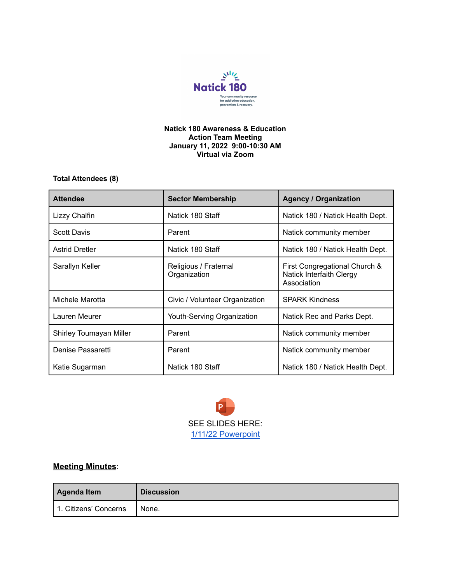

## **Natick 180 Awareness & Education Action Team Meeting January 11, 2022 9:00-10:30 AM Virtual via Zoom**

## **Total Attendees (8)**

| <b>Attendee</b>         | <b>Sector Membership</b>              | <b>Agency / Organization</b>                                             |
|-------------------------|---------------------------------------|--------------------------------------------------------------------------|
| Lizzy Chalfin           | Natick 180 Staff                      | Natick 180 / Natick Health Dept.                                         |
| <b>Scott Davis</b>      | Parent                                | Natick community member                                                  |
| <b>Astrid Dretler</b>   | Natick 180 Staff                      | Natick 180 / Natick Health Dept.                                         |
| Sarallyn Keller         | Religious / Fraternal<br>Organization | First Congregational Church &<br>Natick Interfaith Clergy<br>Association |
| Michele Marotta         | Civic / Volunteer Organization        | <b>SPARK Kindness</b>                                                    |
| Lauren Meurer           | Youth-Serving Organization            | Natick Rec and Parks Dept.                                               |
| Shirley Toumayan Miller | Parent                                | Natick community member                                                  |
| Denise Passaretti       | Parent                                | Natick community member                                                  |
| Katie Sugarman          | Natick 180 Staff                      | Natick 180 / Natick Health Dept.                                         |



## **Meeting Minutes**:

| Agenda Item           | <b>Discussion</b> |
|-----------------------|-------------------|
| 1. Citizens' Concerns | None.             |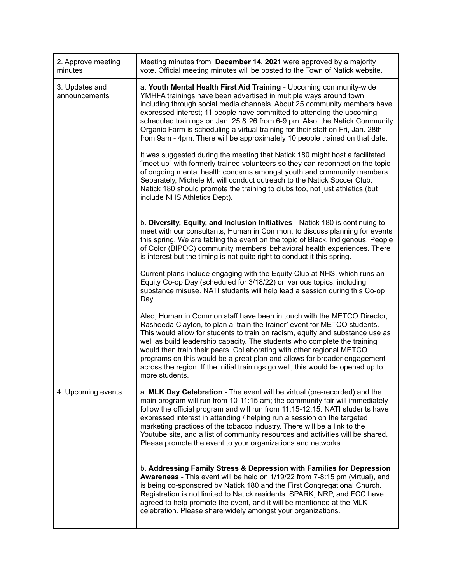| 2. Approve meeting<br>minutes   | Meeting minutes from December 14, 2021 were approved by a majority<br>vote. Official meeting minutes will be posted to the Town of Natick website.                                                                                                                                                                                                                                                                                                                                                                                                                           |
|---------------------------------|------------------------------------------------------------------------------------------------------------------------------------------------------------------------------------------------------------------------------------------------------------------------------------------------------------------------------------------------------------------------------------------------------------------------------------------------------------------------------------------------------------------------------------------------------------------------------|
| 3. Updates and<br>announcements | a. Youth Mental Health First Aid Training - Upcoming community-wide<br>YMHFA trainings have been advertised in multiple ways around town<br>including through social media channels. About 25 community members have<br>expressed interest; 11 people have committed to attending the upcoming<br>scheduled trainings on Jan. 25 & 26 from 6-9 pm. Also, the Natick Community<br>Organic Farm is scheduling a virtual training for their staff on Fri, Jan. 28th<br>from 9am - 4pm. There will be approximately 10 people trained on that date.                              |
|                                 | It was suggested during the meeting that Natick 180 might host a facilitated<br>"meet up" with formerly trained volunteers so they can reconnect on the topic<br>of ongoing mental health concerns amongst youth and community members.<br>Separately, Michele M. will conduct outreach to the Natick Soccer Club.<br>Natick 180 should promote the training to clubs too, not just athletics (but<br>include NHS Athletics Dept).                                                                                                                                           |
|                                 | b. Diversity, Equity, and Inclusion Initiatives - Natick 180 is continuing to<br>meet with our consultants, Human in Common, to discuss planning for events<br>this spring. We are tabling the event on the topic of Black, Indigenous, People<br>of Color (BIPOC) community members' behavioral health experiences. There<br>is interest but the timing is not quite right to conduct it this spring.                                                                                                                                                                       |
|                                 | Current plans include engaging with the Equity Club at NHS, which runs an<br>Equity Co-op Day (scheduled for 3/18/22) on various topics, including<br>substance misuse. NATI students will help lead a session during this Co-op<br>Day.                                                                                                                                                                                                                                                                                                                                     |
|                                 | Also, Human in Common staff have been in touch with the METCO Director,<br>Rasheeda Clayton, to plan a 'train the trainer' event for METCO students.<br>This would allow for students to train on racism, equity and substance use as<br>well as build leadership capacity. The students who complete the training<br>would then train their peers. Collaborating with other regional METCO<br>programs on this would be a great plan and allows for broader engagement<br>across the region. If the initial trainings go well, this would be opened up to<br>more students. |
| 4. Upcoming events              | a. MLK Day Celebration - The event will be virtual (pre-recorded) and the<br>main program will run from 10-11:15 am; the community fair will immediately<br>follow the official program and will run from 11:15-12:15. NATI students have<br>expressed interest in attending / helping run a session on the targeted<br>marketing practices of the tobacco industry. There will be a link to the<br>Youtube site, and a list of community resources and activities will be shared.<br>Please promote the event to your organizations and networks.                           |
|                                 | b. Addressing Family Stress & Depression with Families for Depression<br>Awareness - This event will be held on 1/19/22 from 7-8:15 pm (virtual), and<br>is being co-sponsored by Natick 180 and the First Congregational Church.<br>Registration is not limited to Natick residents. SPARK, NRP, and FCC have<br>agreed to help promote the event, and it will be mentioned at the MLK<br>celebration. Please share widely amongst your organizations.                                                                                                                      |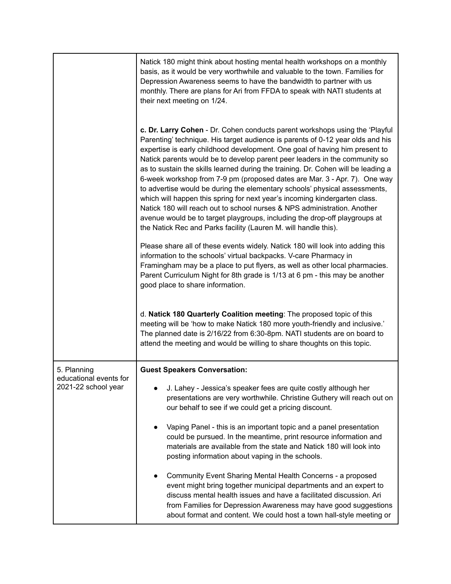|                                               | Natick 180 might think about hosting mental health workshops on a monthly<br>basis, as it would be very worthwhile and valuable to the town. Families for<br>Depression Awareness seems to have the bandwidth to partner with us<br>monthly. There are plans for Ari from FFDA to speak with NATI students at<br>their next meeting on 1/24.                                                                                                                                                                                                                                                                                                                                                                                                                                                                                                                                          |  |  |
|-----------------------------------------------|---------------------------------------------------------------------------------------------------------------------------------------------------------------------------------------------------------------------------------------------------------------------------------------------------------------------------------------------------------------------------------------------------------------------------------------------------------------------------------------------------------------------------------------------------------------------------------------------------------------------------------------------------------------------------------------------------------------------------------------------------------------------------------------------------------------------------------------------------------------------------------------|--|--|
|                                               | c. Dr. Larry Cohen - Dr. Cohen conducts parent workshops using the 'Playful<br>Parenting' technique. His target audience is parents of 0-12 year olds and his<br>expertise is early childhood development. One goal of having him present to<br>Natick parents would be to develop parent peer leaders in the community so<br>as to sustain the skills learned during the training. Dr. Cohen will be leading a<br>6-week workshop from 7-9 pm (proposed dates are Mar. 3 - Apr. 7). One way<br>to advertise would be during the elementary schools' physical assessments,<br>which will happen this spring for next year's incoming kindergarten class.<br>Natick 180 will reach out to school nurses & NPS administration. Another<br>avenue would be to target playgroups, including the drop-off playgroups at<br>the Natick Rec and Parks facility (Lauren M. will handle this). |  |  |
|                                               | Please share all of these events widely. Natick 180 will look into adding this<br>information to the schools' virtual backpacks. V-care Pharmacy in<br>Framingham may be a place to put flyers, as well as other local pharmacies.<br>Parent Curriculum Night for 8th grade is 1/13 at 6 pm - this may be another<br>good place to share information.                                                                                                                                                                                                                                                                                                                                                                                                                                                                                                                                 |  |  |
|                                               | d. Natick 180 Quarterly Coalition meeting: The proposed topic of this<br>meeting will be 'how to make Natick 180 more youth-friendly and inclusive.'<br>The planned date is 2/16/22 from 6:30-8pm. NATI students are on board to<br>attend the meeting and would be willing to share thoughts on this topic.                                                                                                                                                                                                                                                                                                                                                                                                                                                                                                                                                                          |  |  |
| 5. Planning                                   | <b>Guest Speakers Conversation:</b>                                                                                                                                                                                                                                                                                                                                                                                                                                                                                                                                                                                                                                                                                                                                                                                                                                                   |  |  |
| educational events for<br>2021-22 school year | J. Lahey - Jessica's speaker fees are quite costly although her<br>presentations are very worthwhile. Christine Guthery will reach out on<br>our behalf to see if we could get a pricing discount.                                                                                                                                                                                                                                                                                                                                                                                                                                                                                                                                                                                                                                                                                    |  |  |
|                                               | Vaping Panel - this is an important topic and a panel presentation<br>could be pursued. In the meantime, print resource information and<br>materials are available from the state and Natick 180 will look into<br>posting information about vaping in the schools.                                                                                                                                                                                                                                                                                                                                                                                                                                                                                                                                                                                                                   |  |  |
|                                               | Community Event Sharing Mental Health Concerns - a proposed<br>event might bring together municipal departments and an expert to<br>discuss mental health issues and have a facilitated discussion. Ari<br>from Families for Depression Awareness may have good suggestions<br>about format and content. We could host a town hall-style meeting or                                                                                                                                                                                                                                                                                                                                                                                                                                                                                                                                   |  |  |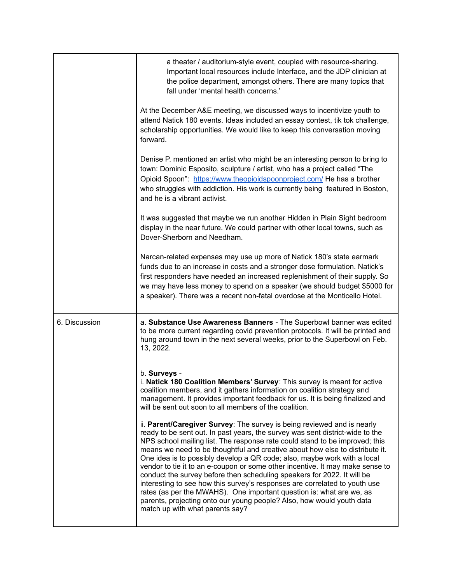|               | a theater / auditorium-style event, coupled with resource-sharing.<br>Important local resources include Interface, and the JDP clinician at<br>the police department, amongst others. There are many topics that<br>fall under 'mental health concerns.'                                                                                                                                                                                                                                                                                                                                                                                                                                                                                                                                                                          |
|---------------|-----------------------------------------------------------------------------------------------------------------------------------------------------------------------------------------------------------------------------------------------------------------------------------------------------------------------------------------------------------------------------------------------------------------------------------------------------------------------------------------------------------------------------------------------------------------------------------------------------------------------------------------------------------------------------------------------------------------------------------------------------------------------------------------------------------------------------------|
|               | At the December A&E meeting, we discussed ways to incentivize youth to<br>attend Natick 180 events. Ideas included an essay contest, tik tok challenge,<br>scholarship opportunities. We would like to keep this conversation moving<br>forward.                                                                                                                                                                                                                                                                                                                                                                                                                                                                                                                                                                                  |
|               | Denise P. mentioned an artist who might be an interesting person to bring to<br>town: Dominic Esposito, sculpture / artist, who has a project called "The<br>Opioid Spoon": https://www.theopioidspoonproject.com/ He has a brother<br>who struggles with addiction. His work is currently being featured in Boston,<br>and he is a vibrant activist.                                                                                                                                                                                                                                                                                                                                                                                                                                                                             |
|               | It was suggested that maybe we run another Hidden in Plain Sight bedroom<br>display in the near future. We could partner with other local towns, such as<br>Dover-Sherborn and Needham.                                                                                                                                                                                                                                                                                                                                                                                                                                                                                                                                                                                                                                           |
|               | Narcan-related expenses may use up more of Natick 180's state earmark<br>funds due to an increase in costs and a stronger dose formulation. Natick's<br>first responders have needed an increased replenishment of their supply. So<br>we may have less money to spend on a speaker (we should budget \$5000 for<br>a speaker). There was a recent non-fatal overdose at the Monticello Hotel.                                                                                                                                                                                                                                                                                                                                                                                                                                    |
| 6. Discussion | a. Substance Use Awareness Banners - The Superbowl banner was edited<br>to be more current regarding covid prevention protocols. It will be printed and<br>hung around town in the next several weeks, prior to the Superbowl on Feb.<br>13, 2022.                                                                                                                                                                                                                                                                                                                                                                                                                                                                                                                                                                                |
|               | b. Surveys -<br>i. Natick 180 Coalition Members' Survey: This survey is meant for active<br>coalition members, and it gathers information on coalition strategy and<br>management. It provides important feedback for us. It is being finalized and<br>will be sent out soon to all members of the coalition.                                                                                                                                                                                                                                                                                                                                                                                                                                                                                                                     |
|               | ii. Parent/Caregiver Survey: The survey is being reviewed and is nearly<br>ready to be sent out. In past years, the survey was sent district-wide to the<br>NPS school mailing list. The response rate could stand to be improved; this<br>means we need to be thoughtful and creative about how else to distribute it.<br>One idea is to possibly develop a QR code; also, maybe work with a local<br>vendor to tie it to an e-coupon or some other incentive. It may make sense to<br>conduct the survey before then scheduling speakers for 2022. It will be<br>interesting to see how this survey's responses are correlated to youth use<br>rates (as per the MWAHS). One important question is: what are we, as<br>parents, projecting onto our young people? Also, how would youth data<br>match up with what parents say? |